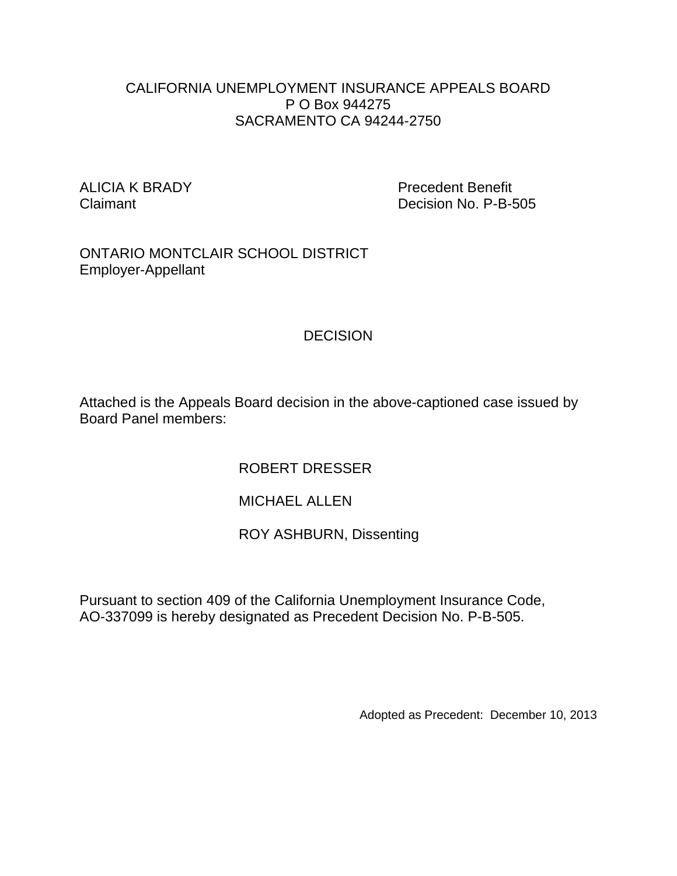#### CALIFORNIA UNEMPLOYMENT INSURANCE APPEALS BOARD P O Box 944275 SACRAMENTO CA 94244-2750

ALICIA K BRADY Precedent Benefit Claimant Decision No. P-B-505

ONTARIO MONTCLAIR SCHOOL DISTRICT Employer-Appellant

# **DECISION**

Attached is the Appeals Board decision in the above-captioned case issued by Board Panel members:

ROBERT DRESSER

MICHAEL ALLEN

ROY ASHBURN, Dissenting

Pursuant to section 409 of the California Unemployment Insurance Code, AO-337099 is hereby designated as Precedent Decision No. P-B-505.

Adopted as Precedent: December 10, 2013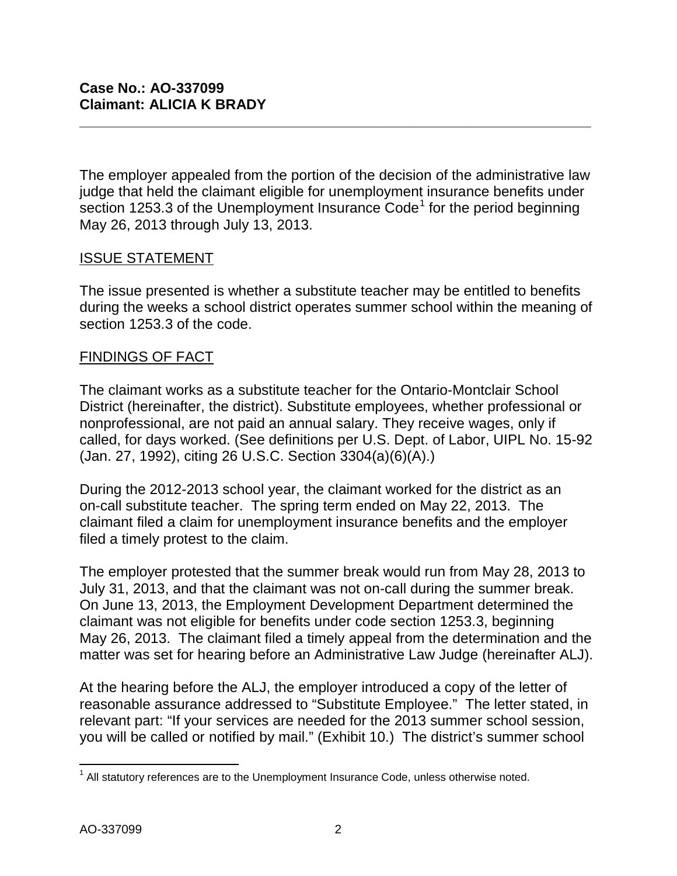The employer appealed from the portion of the decision of the administrative law judge that held the claimant eligible for unemployment insurance benefits under section [1](#page-1-0)253.3 of the Unemployment Insurance  $Code<sup>1</sup>$  for the period beginning May 26, 2013 through July 13, 2013.

**\_\_\_\_\_\_\_\_\_\_\_\_\_\_\_\_\_\_\_\_\_\_\_\_\_\_\_\_\_\_\_\_\_\_\_\_\_\_\_\_\_\_\_\_\_\_\_\_\_\_\_\_\_\_\_\_\_\_\_\_\_\_\_\_**

#### ISSUE STATEMENT

The issue presented is whether a substitute teacher may be entitled to benefits during the weeks a school district operates summer school within the meaning of section 1253.3 of the code.

## FINDINGS OF FACT

The claimant works as a substitute teacher for the Ontario-Montclair School District (hereinafter, the district). Substitute employees, whether professional or nonprofessional, are not paid an annual salary. They receive wages, only if called, for days worked. (See definitions per U.S. Dept. of Labor, UIPL No. 15-92 (Jan. 27, 1992), citing 26 U.S.C. Section 3304(a)(6)(A).)

During the 2012-2013 school year, the claimant worked for the district as an on-call substitute teacher. The spring term ended on May 22, 2013. The claimant filed a claim for unemployment insurance benefits and the employer filed a timely protest to the claim.

The employer protested that the summer break would run from May 28, 2013 to July 31, 2013, and that the claimant was not on-call during the summer break. On June 13, 2013, the Employment Development Department determined the claimant was not eligible for benefits under code section 1253.3, beginning May 26, 2013. The claimant filed a timely appeal from the determination and the matter was set for hearing before an Administrative Law Judge (hereinafter ALJ).

At the hearing before the ALJ, the employer introduced a copy of the letter of reasonable assurance addressed to "Substitute Employee." The letter stated, in relevant part: "If your services are needed for the 2013 summer school session, you will be called or notified by mail." (Exhibit 10.) The district's summer school

<span id="page-1-0"></span> $\overline{\phantom{a}}$  $1$  All statutory references are to the Unemployment Insurance Code, unless otherwise noted.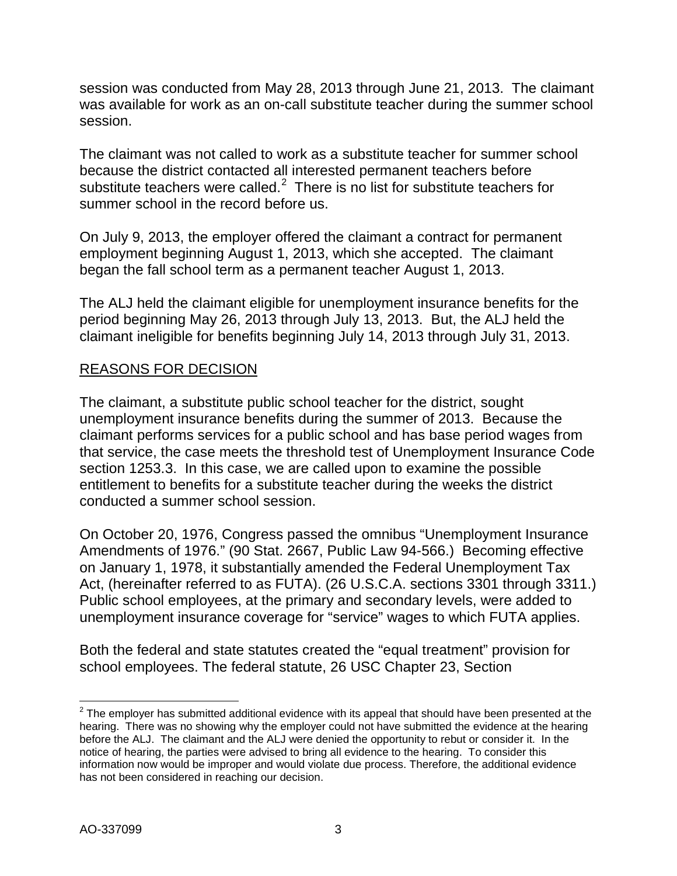session was conducted from May 28, 2013 through June 21, 2013. The claimant was available for work as an on-call substitute teacher during the summer school session.

The claimant was not called to work as a substitute teacher for summer school because the district contacted all interested permanent teachers before substitute teachers were called. $2$  There is no list for substitute teachers for summer school in the record before us.

On July 9, 2013, the employer offered the claimant a contract for permanent employment beginning August 1, 2013, which she accepted. The claimant began the fall school term as a permanent teacher August 1, 2013.

The ALJ held the claimant eligible for unemployment insurance benefits for the period beginning May 26, 2013 through July 13, 2013. But, the ALJ held the claimant ineligible for benefits beginning July 14, 2013 through July 31, 2013.

# REASONS FOR DECISION

The claimant, a substitute public school teacher for the district, sought unemployment insurance benefits during the summer of 2013. Because the claimant performs services for a public school and has base period wages from that service, the case meets the threshold test of Unemployment Insurance Code section 1253.3. In this case, we are called upon to examine the possible entitlement to benefits for a substitute teacher during the weeks the district conducted a summer school session.

On October 20, 1976, Congress passed the omnibus "Unemployment Insurance Amendments of 1976." (90 Stat. 2667, Public Law 94-566.) Becoming effective on January 1, 1978, it substantially amended the Federal Unemployment Tax Act, (hereinafter referred to as FUTA). (26 U.S.C.A. sections 3301 through 3311.) Public school employees, at the primary and secondary levels, were added to unemployment insurance coverage for "service" wages to which FUTA applies.

Both the federal and state statutes created the "equal treatment" provision for school employees. The federal statute, 26 USC Chapter 23, Section

<span id="page-2-0"></span> $\overline{a}$  $2$  The employer has submitted additional evidence with its appeal that should have been presented at the hearing. There was no showing why the employer could not have submitted the evidence at the hearing before the ALJ. The claimant and the ALJ were denied the opportunity to rebut or consider it. In the notice of hearing, the parties were advised to bring all evidence to the hearing. To consider this information now would be improper and would violate due process. Therefore, the additional evidence has not been considered in reaching our decision.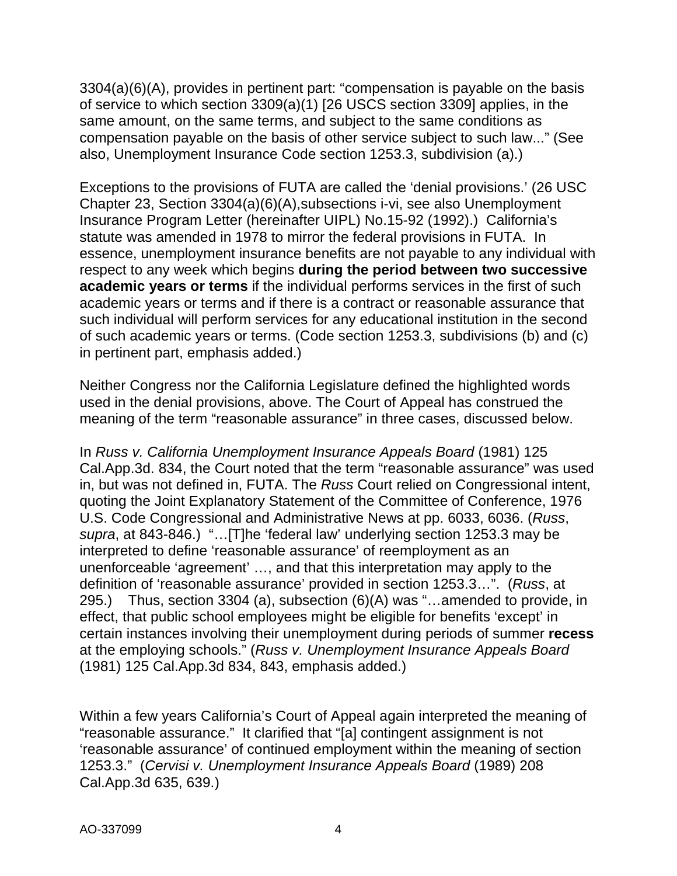3304(a)(6)(A), provides in pertinent part: "compensation is payable on the basis of service to which section 3309(a)(1) [26 USCS section 3309] applies, in the same amount, on the same terms, and subject to the same conditions as compensation payable on the basis of other service subject to such law..." (See also, Unemployment Insurance Code section 1253.3, subdivision (a).)

Exceptions to the provisions of FUTA are called the 'denial provisions.' (26 USC Chapter 23, Section 3304(a)(6)(A),subsections i-vi, see also Unemployment Insurance Program Letter (hereinafter UIPL) No.15-92 (1992).) California's statute was amended in 1978 to mirror the federal provisions in FUTA. In essence, unemployment insurance benefits are not payable to any individual with respect to any week which begins **during the period between two successive academic years or terms** if the individual performs services in the first of such academic years or terms and if there is a contract or reasonable assurance that such individual will perform services for any educational institution in the second of such academic years or terms. (Code section 1253.3, subdivisions (b) and (c) in pertinent part, emphasis added.)

Neither Congress nor the California Legislature defined the highlighted words used in the denial provisions, above. The Court of Appeal has construed the meaning of the term "reasonable assurance" in three cases, discussed below.

In *Russ v. California Unemployment Insurance Appeals Board* (1981) 125 Cal.App.3d. 834, the Court noted that the term "reasonable assurance" was used in, but was not defined in, FUTA. The *Russ* Court relied on Congressional intent, quoting the Joint Explanatory Statement of the Committee of Conference, 1976 U.S. Code Congressional and Administrative News at pp. 6033, 6036. (*Russ*, *supra*, at 843-846.) "…[T]he 'federal law' underlying section 1253.3 may be interpreted to define 'reasonable assurance' of reemployment as an unenforceable 'agreement' …, and that this interpretation may apply to the definition of 'reasonable assurance' provided in section 1253.3…". (*Russ*, at 295.) Thus, section 3304 (a), subsection (6)(A) was "…amended to provide, in effect, that public school employees might be eligible for benefits 'except' in certain instances involving their unemployment during periods of summer **recess** at the employing schools." (*Russ v. Unemployment Insurance Appeals Board* (1981) 125 Cal.App.3d 834, 843, emphasis added.)

Within a few years California's Court of Appeal again interpreted the meaning of "reasonable assurance." It clarified that "[a] contingent assignment is not 'reasonable assurance' of continued employment within the meaning of section 1253.3." (*Cervisi v. Unemployment Insurance Appeals Board* (1989) 208 Cal.App.3d 635, 639.)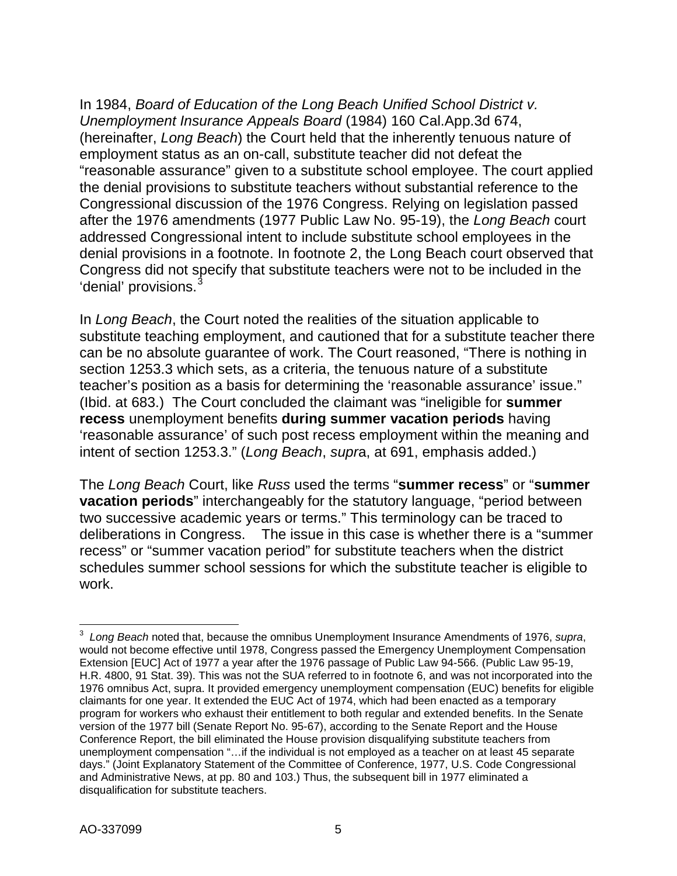In 1984, *Board of Education of the Long Beach Unified School District v. Unemployment Insurance Appeals Board* (1984) 160 Cal.App.3d 674, (hereinafter, *Long Beach*) the Court held that the inherently tenuous nature of employment status as an on-call, substitute teacher did not defeat the "reasonable assurance" given to a substitute school employee. The court applied the denial provisions to substitute teachers without substantial reference to the Congressional discussion of the 1976 Congress. Relying on legislation passed after the 1976 amendments (1977 Public Law No. 95-19), the *Long Beach* court addressed Congressional intent to include substitute school employees in the denial provisions in a footnote. In footnote 2, the Long Beach court observed that Congress did not specify that substitute teachers were not to be included in the 'denial' provisions.<sup>[3](#page-4-0)</sup>

In *Long Beach*, the Court noted the realities of the situation applicable to substitute teaching employment, and cautioned that for a substitute teacher there can be no absolute guarantee of work. The Court reasoned, "There is nothing in section 1253.3 which sets, as a criteria, the tenuous nature of a substitute teacher's position as a basis for determining the 'reasonable assurance' issue." (Ibid. at 683.) The Court concluded the claimant was "ineligible for **summer recess** unemployment benefits **during summer vacation periods** having 'reasonable assurance' of such post recess employment within the meaning and intent of section 1253.3." (*Long Beach*, *supr*a, at 691, emphasis added.)

The *Long Beach* Court, like *Russ* used the terms "**summer recess**" or "**summer vacation periods**" interchangeably for the statutory language, "period between two successive academic years or terms." This terminology can be traced to deliberations in Congress. The issue in this case is whether there is a "summer recess" or "summer vacation period" for substitute teachers when the district schedules summer school sessions for which the substitute teacher is eligible to work.

<span id="page-4-0"></span> 3 *Long Beach* noted that, because the omnibus Unemployment Insurance Amendments of 1976, *supra*, would not become effective until 1978, Congress passed the Emergency Unemployment Compensation Extension [EUC] Act of 1977 a year after the 1976 passage of Public Law 94-566. (Public Law 95-19, H.R. 4800, 91 Stat. 39). This was not the SUA referred to in footnote 6, and was not incorporated into the 1976 omnibus Act, supra. It provided emergency unemployment compensation (EUC) benefits for eligible claimants for one year. It extended the EUC Act of 1974, which had been enacted as a temporary program for workers who exhaust their entitlement to both regular and extended benefits. In the Senate version of the 1977 bill (Senate Report No. 95-67), according to the Senate Report and the House Conference Report, the bill eliminated the House provision disqualifying substitute teachers from unemployment compensation "…if the individual is not employed as a teacher on at least 45 separate days." (Joint Explanatory Statement of the Committee of Conference, 1977, U.S. Code Congressional and Administrative News, at pp. 80 and 103.) Thus, the subsequent bill in 1977 eliminated a disqualification for substitute teachers.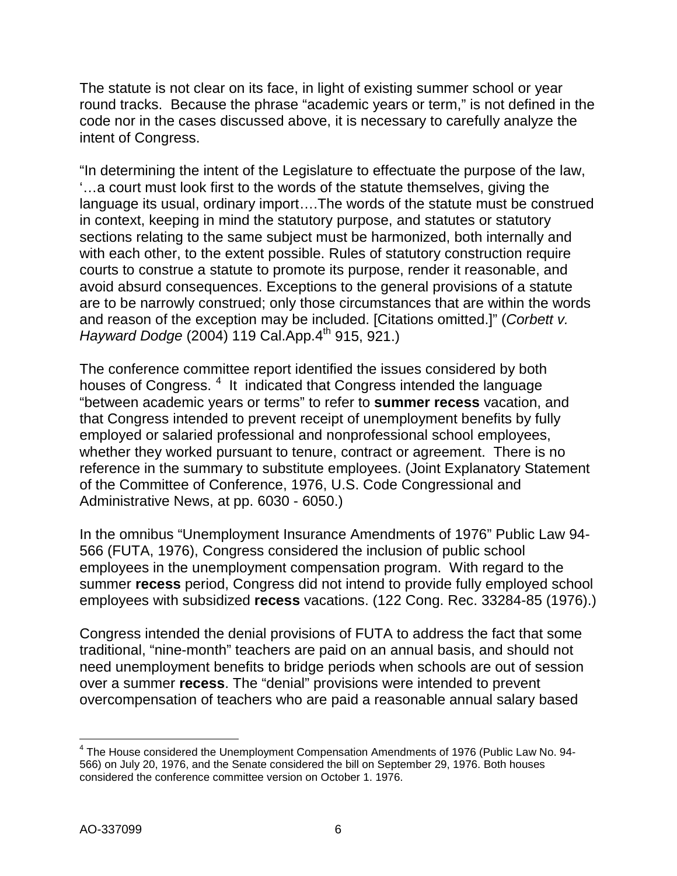The statute is not clear on its face, in light of existing summer school or year round tracks. Because the phrase "academic years or term," is not defined in the code nor in the cases discussed above, it is necessary to carefully analyze the intent of Congress.

"In determining the intent of the Legislature to effectuate the purpose of the law, '…a court must look first to the words of the statute themselves, giving the language its usual, ordinary import….The words of the statute must be construed in context, keeping in mind the statutory purpose, and statutes or statutory sections relating to the same subject must be harmonized, both internally and with each other, to the extent possible. Rules of statutory construction require courts to construe a statute to promote its purpose, render it reasonable, and avoid absurd consequences. Exceptions to the general provisions of a statute are to be narrowly construed; only those circumstances that are within the words and reason of the exception may be included. [Citations omitted.]" (*Corbett v. Hayward Dodge* (2004) 119 Cal.App.4<sup>th</sup> 915, 921.)

The conference committee report identified the issues considered by both houses of Congress.<sup>[4](#page-5-0)</sup> It indicated that Congress intended the language "between academic years or terms" to refer to **summer recess** vacation, and that Congress intended to prevent receipt of unemployment benefits by fully employed or salaried professional and nonprofessional school employees, whether they worked pursuant to tenure, contract or agreement. There is no reference in the summary to substitute employees. (Joint Explanatory Statement of the Committee of Conference, 1976, U.S. Code Congressional and Administrative News, at pp. 6030 - 6050.)

In the omnibus "Unemployment Insurance Amendments of 1976" Public Law 94- 566 (FUTA, 1976), Congress considered the inclusion of public school employees in the unemployment compensation program. With regard to the summer **recess** period, Congress did not intend to provide fully employed school employees with subsidized **recess** vacations. (122 Cong. Rec. 33284-85 (1976).)

Congress intended the denial provisions of FUTA to address the fact that some traditional, "nine-month" teachers are paid on an annual basis, and should not need unemployment benefits to bridge periods when schools are out of session over a summer **recess**. The "denial" provisions were intended to prevent overcompensation of teachers who are paid a reasonable annual salary based

<span id="page-5-0"></span> $\overline{\phantom{a}}$  $^4$  The House considered the Unemployment Compensation Amendments of 1976 (Public Law No. 94-566) on July 20, 1976, and the Senate considered the bill on September 29, 1976. Both houses considered the conference committee version on October 1. 1976.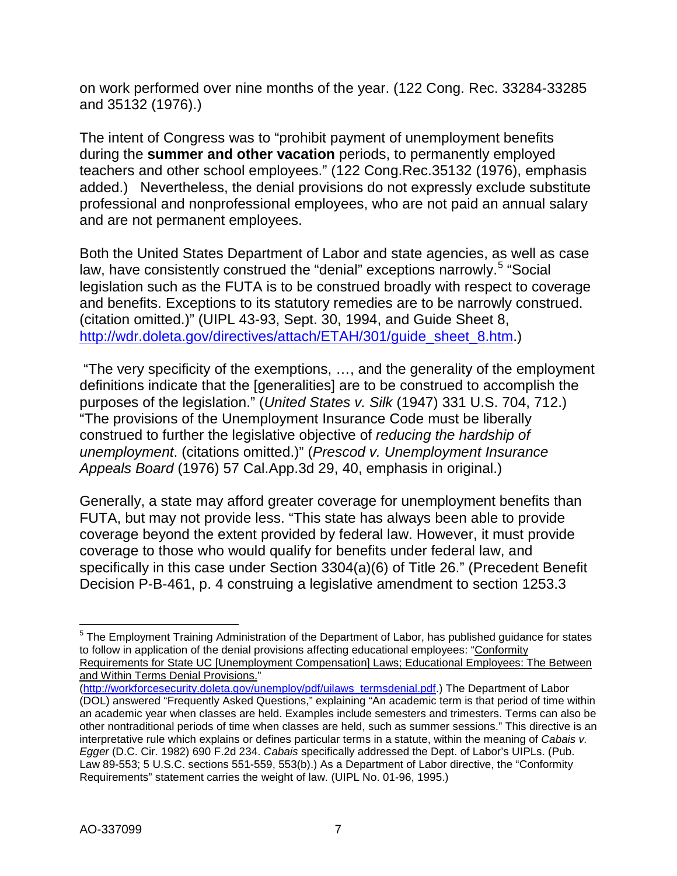on work performed over nine months of the year. (122 Cong. Rec. 33284-33285 and 35132 (1976).)

The intent of Congress was to "prohibit payment of unemployment benefits during the **summer and other vacation** periods, to permanently employed teachers and other school employees." (122 Cong.Rec.35132 (1976), emphasis added.) Nevertheless, the denial provisions do not expressly exclude substitute professional and nonprofessional employees, who are not paid an annual salary and are not permanent employees.

Both the United States Department of Labor and state agencies, as well as case law, have consistently construed the "denial" exceptions narrowly.<sup>[5](#page-6-0)</sup> "Social legislation such as the FUTA is to be construed broadly with respect to coverage and benefits. Exceptions to its statutory remedies are to be narrowly construed. (citation omitted.)" (UIPL 43-93, Sept. 30, 1994, and Guide Sheet 8, [http://wdr.doleta.gov/directives/attach/ETAH/301/guide\\_sheet\\_8.htm.](http://wdr.doleta.gov/directives/attach/ETAH/301/guide_sheet_8.htm))

"The very specificity of the exemptions, …, and the generality of the employment definitions indicate that the [generalities] are to be construed to accomplish the purposes of the legislation." (*United States v. Silk* (1947) 331 U.S. 704, 712.) "The provisions of the Unemployment Insurance Code must be liberally construed to further the legislative objective of *reducing the hardship of unemployment*. (citations omitted.)" (*Prescod v. Unemployment Insurance Appeals Board* (1976) 57 Cal.App.3d 29, 40, emphasis in original.)

Generally, a state may afford greater coverage for unemployment benefits than FUTA, but may not provide less. "This state has always been able to provide coverage beyond the extent provided by federal law. However, it must provide coverage to those who would qualify for benefits under federal law, and specifically in this case under Section 3304(a)(6) of Title 26." (Precedent Benefit Decision P-B-461, p. 4 construing a legislative amendment to section 1253.3

[\(http://workforcesecurity.doleta.gov/unemploy/pdf/uilaws\\_termsdenial.pdf.](http://workforcesecurity.doleta.gov/unemploy/pdf/uilaws_termsdenial.pdf)) The Department of Labor

<span id="page-6-0"></span> $\overline{a}$  $5$  The Employment Training Administration of the Department of Labor, has published guidance for states to follow in application of the denial provisions affecting educational employees: "Conformity Requirements for State UC [Unemployment Compensation] Laws; Educational Employees: The Between and Within Terms Denial Provisions."

<sup>(</sup>DOL) answered "Frequently Asked Questions," explaining "An academic term is that period of time within an academic year when classes are held. Examples include semesters and trimesters. Terms can also be other nontraditional periods of time when classes are held, such as summer sessions." This directive is an interpretative rule which explains or defines particular terms in a statute, within the meaning of *Cabais v. Egger* (D.C. Cir. 1982) 690 F.2d 234. *Cabais* specifically addressed the Dept. of Labor's UIPLs. (Pub. Law 89-553; 5 U.S.C. sections 551-559, 553(b).) As a Department of Labor directive, the "Conformity Requirements" statement carries the weight of law. (UIPL No. 01-96, 1995.)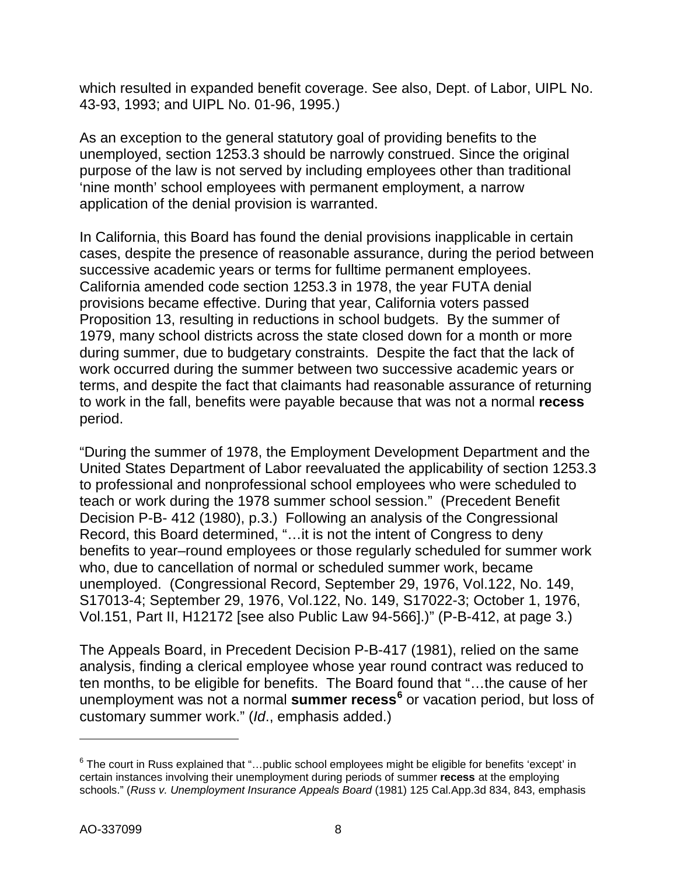which resulted in expanded benefit coverage. See also, Dept. of Labor, UIPL No. 43-93, 1993; and UIPL No. 01-96, 1995.)

As an exception to the general statutory goal of providing benefits to the unemployed, section 1253.3 should be narrowly construed. Since the original purpose of the law is not served by including employees other than traditional 'nine month' school employees with permanent employment, a narrow application of the denial provision is warranted.

In California, this Board has found the denial provisions inapplicable in certain cases, despite the presence of reasonable assurance, during the period between successive academic years or terms for fulltime permanent employees. California amended code section 1253.3 in 1978, the year FUTA denial provisions became effective. During that year, California voters passed Proposition 13, resulting in reductions in school budgets. By the summer of 1979, many school districts across the state closed down for a month or more during summer, due to budgetary constraints. Despite the fact that the lack of work occurred during the summer between two successive academic years or terms, and despite the fact that claimants had reasonable assurance of returning to work in the fall, benefits were payable because that was not a normal **recess** period.

"During the summer of 1978, the Employment Development Department and the United States Department of Labor reevaluated the applicability of section 1253.3 to professional and nonprofessional school employees who were scheduled to teach or work during the 1978 summer school session." (Precedent Benefit Decision P-B- 412 (1980), p.3.) Following an analysis of the Congressional Record, this Board determined, "…it is not the intent of Congress to deny benefits to year–round employees or those regularly scheduled for summer work who, due to cancellation of normal or scheduled summer work, became unemployed. (Congressional Record, September 29, 1976, Vol.122, No. 149, S17013-4; September 29, 1976, Vol.122, No. 149, S17022-3; October 1, 1976, Vol.151, Part II, H12172 [see also Public Law 94-566].)" (P-B-412, at page 3.)

The Appeals Board, in Precedent Decision P-B-417 (1981), relied on the same analysis, finding a clerical employee whose year round contract was reduced to ten months, to be eligible for benefits. The Board found that "…the cause of her unemployment was not a normal **summer recess[6](#page-7-0)** or vacation period, but loss of customary summer work." (*Id*., emphasis added.)

 $\overline{a}$ 

<span id="page-7-0"></span> $6$  The court in Russ explained that "... public school employees might be eligible for benefits 'except' in certain instances involving their unemployment during periods of summer **recess** at the employing schools." (*Russ v. Unemployment Insurance Appeals Board* (1981) 125 Cal.App.3d 834, 843, emphasis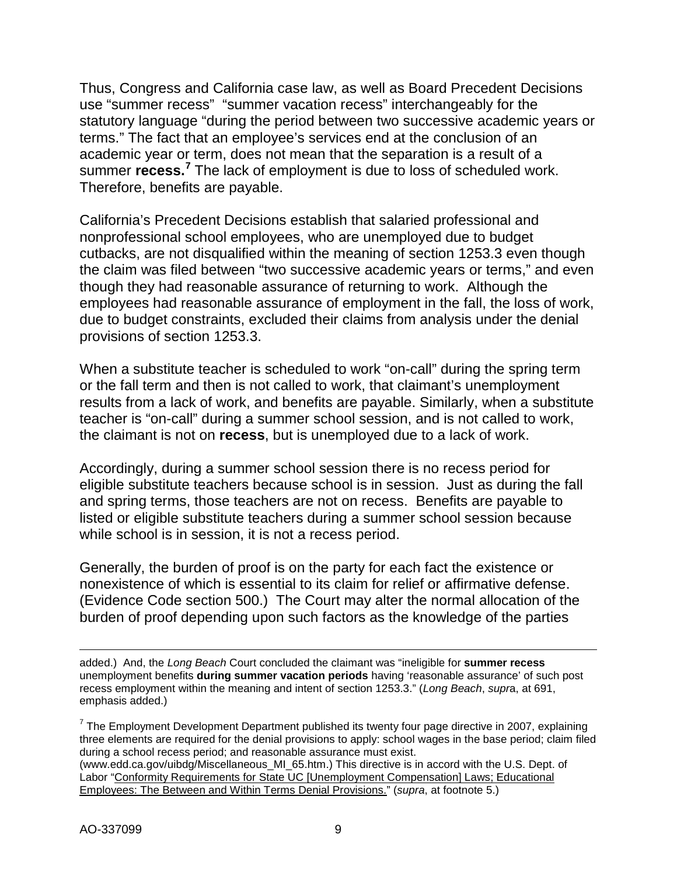Thus, Congress and California case law, as well as Board Precedent Decisions use "summer recess" "summer vacation recess" interchangeably for the statutory language "during the period between two successive academic years or terms." The fact that an employee's services end at the conclusion of an academic year or term, does not mean that the separation is a result of a summer **recess.[7](#page-8-0)** The lack of employment is due to loss of scheduled work. Therefore, benefits are payable.

California's Precedent Decisions establish that salaried professional and nonprofessional school employees, who are unemployed due to budget cutbacks, are not disqualified within the meaning of section 1253.3 even though the claim was filed between "two successive academic years or terms," and even though they had reasonable assurance of returning to work. Although the employees had reasonable assurance of employment in the fall, the loss of work, due to budget constraints, excluded their claims from analysis under the denial provisions of section 1253.3.

When a substitute teacher is scheduled to work "on-call" during the spring term or the fall term and then is not called to work, that claimant's unemployment results from a lack of work, and benefits are payable. Similarly, when a substitute teacher is "on-call" during a summer school session, and is not called to work, the claimant is not on **recess**, but is unemployed due to a lack of work.

Accordingly, during a summer school session there is no recess period for eligible substitute teachers because school is in session. Just as during the fall and spring terms, those teachers are not on recess. Benefits are payable to listed or eligible substitute teachers during a summer school session because while school is in session, it is not a recess period.

Generally, the burden of proof is on the party for each fact the existence or nonexistence of which is essential to its claim for relief or affirmative defense. (Evidence Code section 500.) The Court may alter the normal allocation of the burden of proof depending upon such factors as the knowledge of the parties

added.) And, the *Long Beach* Court concluded the claimant was "ineligible for **summer recess** unemployment benefits **during summer vacation periods** having 'reasonable assurance' of such post recess employment within the meaning and intent of section 1253.3." (*Long Beach*, *supr*a, at 691, emphasis added.)

<span id="page-8-0"></span> $7$  The Employment Development Department published its twenty four page directive in 2007, explaining three elements are required for the denial provisions to apply: school wages in the base period; claim filed during a school recess period; and reasonable assurance must exist. (www.edd.ca.gov/uibdg/Miscellaneous\_MI\_65.htm.) This directive is in accord with the U.S. Dept. of Labor "Conformity Requirements for State UC [Unemployment Compensation] Laws; Educational Employees: The Between and Within Terms Denial Provisions." (*supra*, at footnote 5.)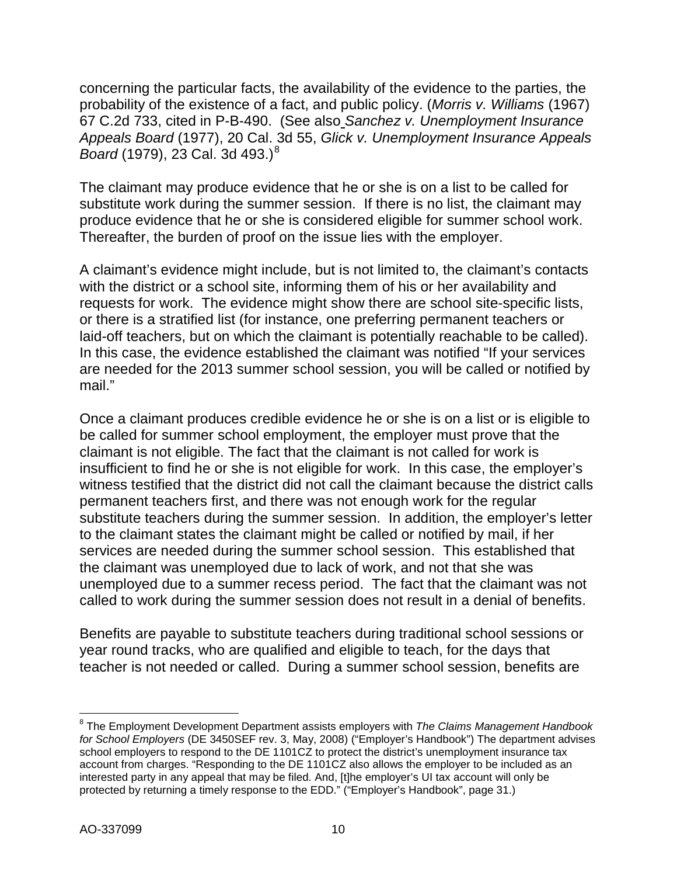concerning the particular facts, the availability of the evidence to the parties, the probability of the existence of a fact, and public policy. (*Morris v. Williams* (1967) 67 C.2d 733, cited in P-B-490. (See also *Sanchez v. Unemployment Insurance Appeals Board* (1977), 20 Cal. 3d 55, *Glick v. Unemployment Insurance Appeals Board* (1979), 23 Cal. 3d 493.)<sup>[8](#page-9-0)</sup>

The claimant may produce evidence that he or she is on a list to be called for substitute work during the summer session. If there is no list, the claimant may produce evidence that he or she is considered eligible for summer school work. Thereafter, the burden of proof on the issue lies with the employer.

A claimant's evidence might include, but is not limited to, the claimant's contacts with the district or a school site, informing them of his or her availability and requests for work. The evidence might show there are school site-specific lists, or there is a stratified list (for instance, one preferring permanent teachers or laid-off teachers, but on which the claimant is potentially reachable to be called). In this case, the evidence established the claimant was notified "If your services are needed for the 2013 summer school session, you will be called or notified by mail<sup>"</sup>

Once a claimant produces credible evidence he or she is on a list or is eligible to be called for summer school employment, the employer must prove that the claimant is not eligible. The fact that the claimant is not called for work is insufficient to find he or she is not eligible for work. In this case, the employer's witness testified that the district did not call the claimant because the district calls permanent teachers first, and there was not enough work for the regular substitute teachers during the summer session. In addition, the employer's letter to the claimant states the claimant might be called or notified by mail, if her services are needed during the summer school session. This established that the claimant was unemployed due to lack of work, and not that she was unemployed due to a summer recess period. The fact that the claimant was not called to work during the summer session does not result in a denial of benefits.

Benefits are payable to substitute teachers during traditional school sessions or year round tracks, who are qualified and eligible to teach, for the days that teacher is not needed or called. During a summer school session, benefits are

<span id="page-9-0"></span> $\overline{a}$ <sup>8</sup> The Employment Development Department assists employers with *The Claims Management Handbook for School Employers* (DE 3450SEF rev. 3, May, 2008) ("Employer's Handbook") The department advises school employers to respond to the DE 1101CZ to protect the district's unemployment insurance tax account from charges. "Responding to the DE 1101CZ also allows the employer to be included as an interested party in any appeal that may be filed. And, [t]he employer's UI tax account will only be protected by returning a timely response to the EDD." ("Employer's Handbook", page 31.)